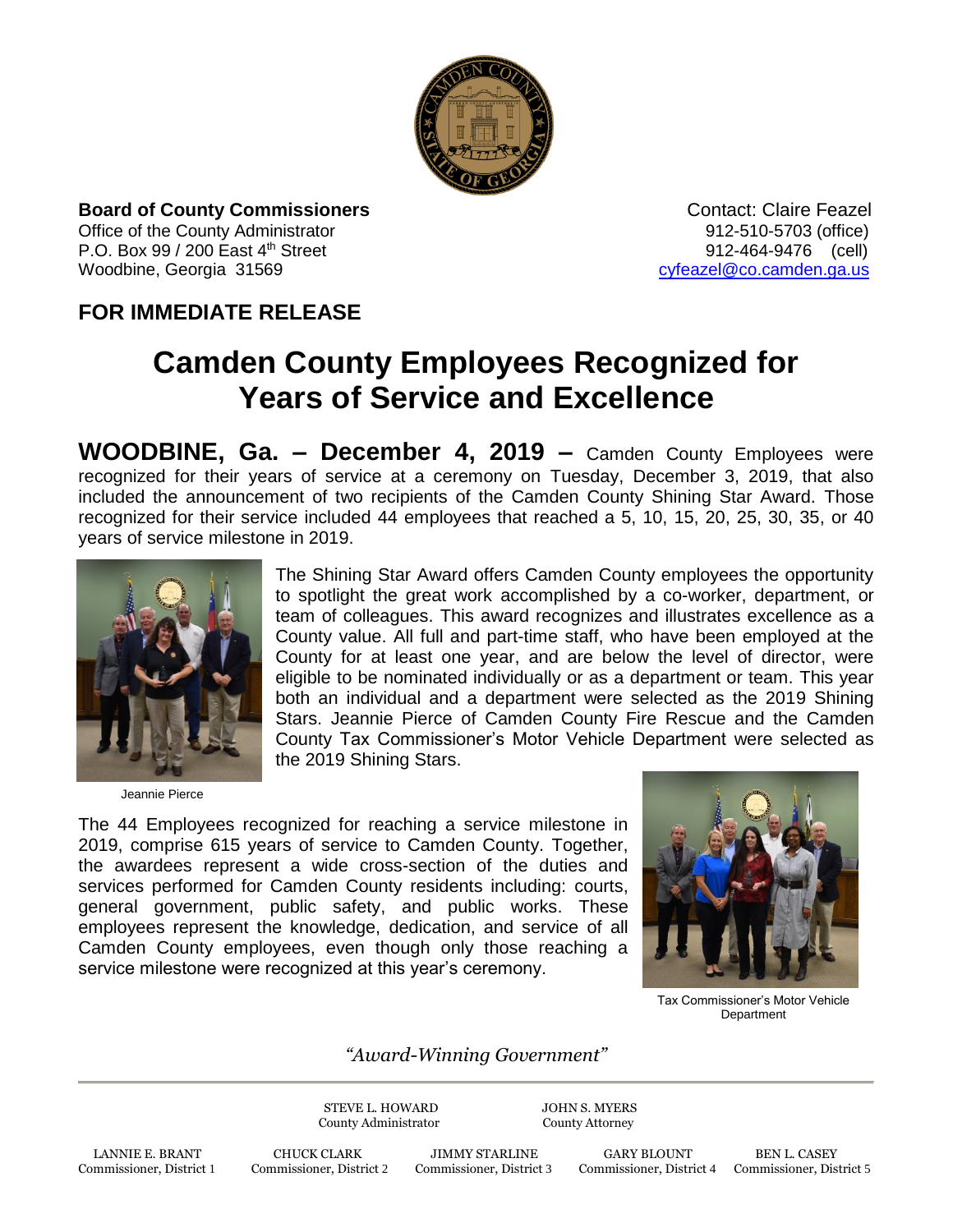

**Board of County Commissioners Contact: Claire Feazel Contact: Claire Feazel** Office of the County Administrator 61 and 2012-510-5703 (office) P.O. Box 99 / 200 East 4<sup>th</sup> Street 912-464-9476 (cell) Woodbine, Georgia 31569 [cyfeazel@co.camden.ga.us](mailto:cyfeazel@co.camden.ga.us)

## **FOR IMMEDIATE RELEASE**

## **Camden County Employees Recognized for Years of Service and Excellence**

**WOODBINE, Ga. – December 4, 2019 –** Camden County Employees were recognized for their years of service at a ceremony on Tuesday, December 3, 2019, that also included the announcement of two recipients of the Camden County Shining Star Award. Those recognized for their service included 44 employees that reached a 5, 10, 15, 20, 25, 30, 35, or 40 years of service milestone in 2019.



Jeannie Pierce

The Shining Star Award offers Camden County employees the opportunity to spotlight the great work accomplished by a co-worker, department, or team of colleagues. This award recognizes and illustrates excellence as a County value. All full and part-time staff, who have been employed at the County for at least one year, and are below the level of director, were eligible to be nominated individually or as a department or team. This year both an individual and a department were selected as the 2019 Shining Stars. Jeannie Pierce of Camden County Fire Rescue and the Camden County Tax Commissioner's Motor Vehicle Department were selected as the 2019 Shining Stars.

The 44 Employees recognized for reaching a service milestone in 2019, comprise 615 years of service to Camden County. Together, the awardees represent a wide cross-section of the duties and services performed for Camden County residents including: courts, general government, public safety, and public works. These employees represent the knowledge, dedication, and service of all Camden County employees, even though only those reaching a service milestone were recognized at this year's ceremony.



Tax Commissioner's Motor Vehicle **Department** 

## *"Award-Winning Government"*

STEVE L. HOWARD JOHN S. MYERS County Administrator County Attorney

LANNIE E. BRANT CHUCK CLARK JIMMY STARLINE GARY BLOUNT BEN L. CASEY Commissioner, District 1 Commissioner, District 2 Commissioner, District 3 Commissioner, District 4 Commissioner, District 1

Commissioner, District 4 Commissioner, District 5